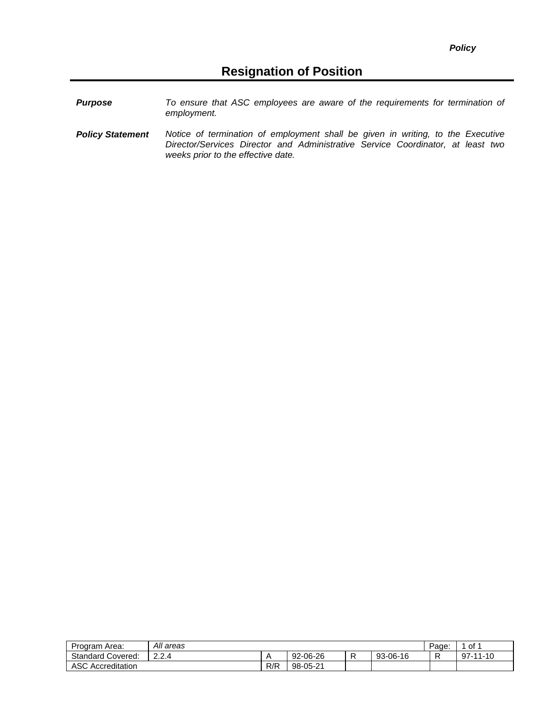| <b>Purpose</b> | To ensure that ASC employees are aware of the requirements for termination of |
|----------------|-------------------------------------------------------------------------------|
|                | employment.                                                                   |

*Policy Statement Notice of termination of employment shall be given in writing, to the Executive Director/Services Director and Administrative Service Coordinator, at least two weeks prior to the effective date.*

| Program Area:            | All areas     |     |          |  |          |  | of 1                |
|--------------------------|---------------|-----|----------|--|----------|--|---------------------|
| <b>Standard Covered:</b> | 22 A<br>2.2.4 |     | 92-06-26 |  | 93-06-16 |  | $-10$<br>-97-<br>44 |
| ASC<br>Accreditation     |               | R/R | 98-05-21 |  |          |  |                     |